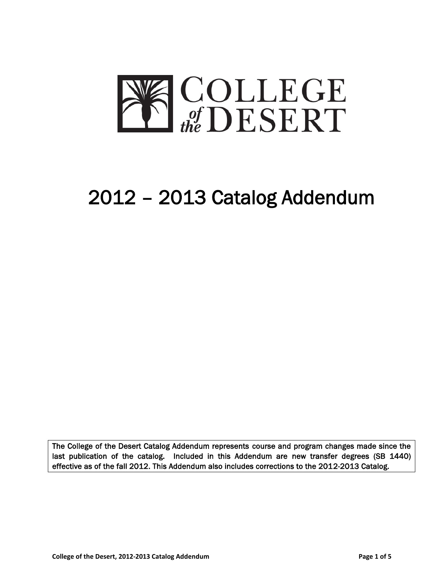

# 2012 – 2013 Catalog Addendum

The College of the Desert Catalog Addendum represents course and program changes made since the last publication of the catalog. Included in this Addendum are new transfer degrees (SB 1440) effective as of the fall 2012. This Addendum also includes corrections to the 2012-2013 Catalog.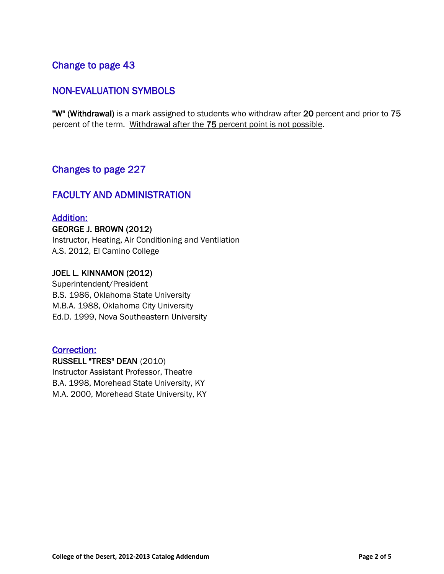# Change to page 43

# NON-EVALUATION SYMBOLS

"W" (Withdrawal) is a mark assigned to students who withdraw after 20 percent and prior to 75 percent of the term. Withdrawal after the 75 percent point is not possible.

### Changes to page 227

### FACULTY AND ADMINISTRATION

### Addition:

GEORGE J. BROWN (2012) Instructor, Heating, Air Conditioning and Ventilation A.S. 2012, El Camino College

### JOEL L. KINNAMON (2012)

Superintendent/President B.S. 1986, Oklahoma State University M.B.A. 1988, Oklahoma City University Ed.D. 1999, Nova Southeastern University

### Correction:

RUSSELL "TRES" DEAN (2010) Instructor Assistant Professor, Theatre B.A. 1998, Morehead State University, KY M.A. 2000, Morehead State University, KY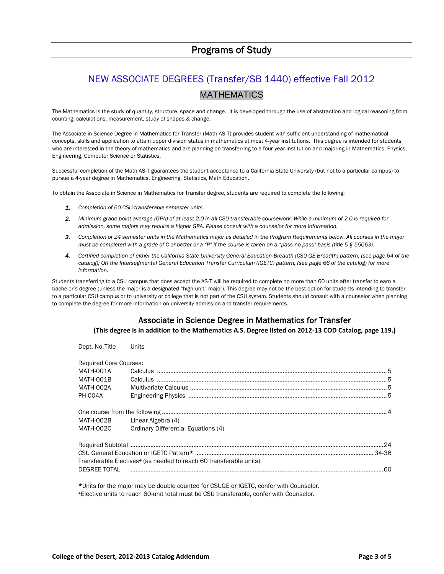# NEW ASSOCIATE DEGREES (Transfer/SB 1440) effective Fall 2012 MATHEMATICS

The Mathematics is the study of quantity, structure, space and change. It is developed through the use of abstraction and logical reasoning from counting, calculations, measurement, study of shapes & change.

The Associate in Science Degree in Mathematics for Transfer (Math AS-T) provides student with sufficient understanding of mathematical concepts, skills and application to attain upper division status in mathematics at most 4-year institutions. This degree is intended for students who are interested in the theory of mathematics and are planning on transferring to a four-year institution and majoring in Mathematics, Physics, Engineering, Computer Science or Statistics.

Successful completion of the Math AS-T guarantees the student acceptance to a California State University (but not to a particular campus) to pursue a 4-year degree in Mathematics, Engineering, Statistics, Math Education.

To obtain the Associate in Science in Mathematics for Transfer degree, students are required to complete the following:

- *1. Completion of 60 CSU-transferable semester units.*
- *2. Minimum grade point average (GPA) of at least 2.0 in all CSU-transferable coursework. While a minimum of 2.0 is required for admission, some majors may require a higher GPA. Please consult with a counselor for more information.*
- *3. Completion of 24 semester units in the Mathematics major as detailed in the Program Requirements below. All courses in the major must be completed with a grade of C or better or a "P" if the course is taken on a "pass-no pass" basis (title 5 § 55063).*
- *4. Certified completion of either the California State University General Education-Breadth (CSU GE Breadth) pattern, (see page 64 of the catalog); OR the Intersegmental General Education Transfer Curriculum (IGETC) pattern, (see page 66 of the catalog) for more information.*

Students transferring to a CSU campus that does accept the AS-T will be required to complete no more than 60 units after transfer to earn a bachelor's degree (unless the major is a designated "high-unit" major). This degree may not be the best option for students intending to transfer to a particular CSU campus or to university or college that is not part of the CSU system. Students should consult with a counselor when planning to complete the degree for more information on university admission and transfer requirements.

### Associate in Science Degree in Mathematics for Transfer

**(This degree is in addition to the Mathematics A.S. Degree listed on 2012-13 COD Catalog, page 119.)**

| Dept. No. Title                                                                | <b>Units</b>                                  |  |  |
|--------------------------------------------------------------------------------|-----------------------------------------------|--|--|
| <b>Required Core Courses:</b>                                                  |                                               |  |  |
| MATH-001A                                                                      |                                               |  |  |
| MATH-001B                                                                      |                                               |  |  |
| MATH-002A                                                                      |                                               |  |  |
| <b>PH-004A</b>                                                                 |                                               |  |  |
|                                                                                |                                               |  |  |
|                                                                                |                                               |  |  |
|                                                                                | MATH-002B Linear Algebra (4)                  |  |  |
|                                                                                | MATH-002C Ordinary Differential Equations (4) |  |  |
|                                                                                |                                               |  |  |
|                                                                                |                                               |  |  |
|                                                                                |                                               |  |  |
| Transferable Electives <sup>+</sup> (as needed to reach 60 transferable units) |                                               |  |  |
| DEGREE TOTAL                                                                   |                                               |  |  |
|                                                                                |                                               |  |  |

\*Units for the major may be double counted for CSUGE or IGETC, confer with Counselor. <sup>+</sup>Elective units to reach 60-unit total must be CSU transferable, confer with Counselor.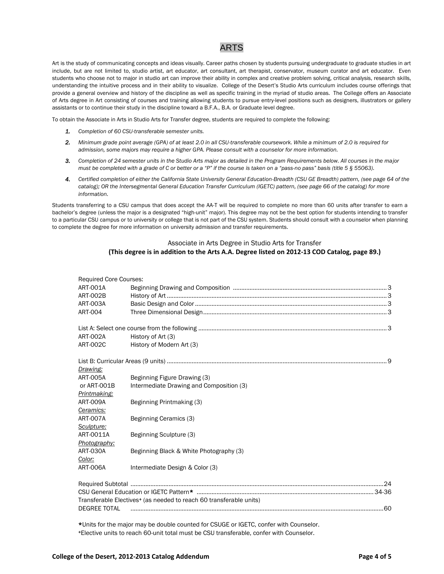### ARTS

Art is the study of communicating concepts and ideas visually. Career paths chosen by students pursuing undergraduate to graduate studies in art include, but are not limited to, studio artist, art educator, art consultant, art therapist, conservator, museum curator and art educator. Even students who choose not to major in studio art can improve their ability in complex and creative problem solving, critical analysis, research skills, understanding the intuitive process and in their ability to visualize. College of the Desert's Studio Arts curriculum includes course offerings that provide a general overview and history of the discipline as well as specific training in the myriad of studio areas. The College offers an Associate of Arts degree in Art consisting of courses and training allowing students to pursue entry-level positions such as designers, illustrators or gallery assistants or to continue their study in the discipline toward a B.F.A., B.A. or Graduate level degree.

To obtain the Associate in Arts in Studio Arts for Transfer degree, students are required to complete the following:

- *1. Completion of 60 CSU-transferable semester units.*
- *2. Minimum grade point average (GPA) of at least 2.0 in all CSU-transferable coursework. While a minimum of 2.0 is required for admission, some majors may require a higher GPA. Please consult with a counselor for more information.*
- *3. Completion of 24 semester units in the Studio Arts major as detailed in the Program Requirements below. All courses in the major must be completed with a grade of C or better or a "P" if the course is taken on a "pass-no pass" basis (title 5 § 55063).*
- *4. Certified completion of either the California State University General Education-Breadth (CSU GE Breadth) pattern, (see page 64 of the catalog); OR the Intersegmental General Education Transfer Curriculum (IGETC) pattern, (see page 66 of the catalog) for more information.*

Students transferring to a CSU campus that does accept the AA-T will be required to complete no more than 60 units after transfer to earn a bachelor's degree (unless the major is a designated "high-unit" major). This degree may not be the best option for students intending to transfer to a particular CSU campus or to university or college that is not part of the CSU system. Students should consult with a counselor when planning to complete the degree for more information on university admission and transfer requirements.

#### Associate in Arts Degree in Studio Arts for Transfer **(This degree is in addition to the Arts A.A. Degree listed on 2012-13 COD Catalog, page 89.)**

| <b>Required Core Courses:</b> |                                                                                |  |  |
|-------------------------------|--------------------------------------------------------------------------------|--|--|
| ART-001A                      |                                                                                |  |  |
| <b>ART-002B</b>               |                                                                                |  |  |
| ART-003A                      |                                                                                |  |  |
| <b>ART-004</b>                |                                                                                |  |  |
|                               |                                                                                |  |  |
| ART-002A                      | History of Art (3)                                                             |  |  |
| <b>ART-002C</b>               | History of Modern Art (3)                                                      |  |  |
|                               |                                                                                |  |  |
| Drawing:                      |                                                                                |  |  |
| ART-005A                      | Beginning Figure Drawing (3)                                                   |  |  |
| or ART-001B                   | Intermediate Drawing and Composition (3)                                       |  |  |
| Printmaking:                  |                                                                                |  |  |
| <b>ART-009A</b>               | Beginning Printmaking (3)                                                      |  |  |
| Ceramics:                     |                                                                                |  |  |
| ART-007A                      | Beginning Ceramics (3)                                                         |  |  |
| Sculpture:                    |                                                                                |  |  |
| ART-0011A                     | Beginning Sculpture (3)                                                        |  |  |
| Photography:                  |                                                                                |  |  |
| <b>ART-030A</b>               | Beginning Black & White Photography (3)                                        |  |  |
| Color:                        |                                                                                |  |  |
| <b>ART-006A</b>               | Intermediate Design & Color (3)                                                |  |  |
|                               |                                                                                |  |  |
|                               |                                                                                |  |  |
|                               | Transferable Electives <sup>+</sup> (as needed to reach 60 transferable units) |  |  |
| DEGREE TOTAL                  |                                                                                |  |  |

\*Units for the major may be double counted for CSUGE or IGETC, confer with Counselor. +Elective units to reach 60-unit total must be CSU transferable, confer with Counselor.